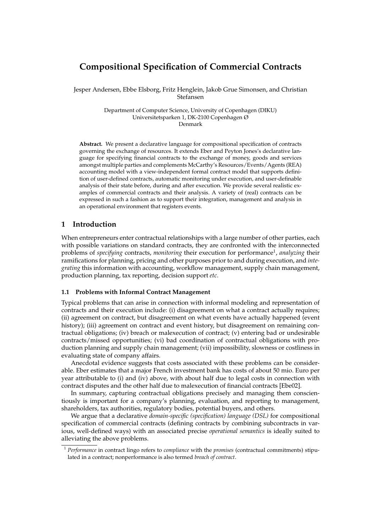# **Compositional Specification of Commercial Contracts**

Jesper Andersen, Ebbe Elsborg, Fritz Henglein, Jakob Grue Simonsen, and Christian Stefansen

> Department of Computer Science, University of Copenhagen (DIKU) Universitetsparken 1, DK-2100 Copenhagen Ø Denmark

**Abstract.** We present a declarative language for compositional specification of contracts governing the exchange of resources. It extends Eber and Peyton Jones's declarative language for specifying financial contracts to the exchange of money, goods and services amongst multiple parties and complements McCarthy's Resources/Events/Agents (REA) accounting model with a view-independent formal contract model that supports definition of user-defined contracts, automatic monitoring under execution, and user-definable analysis of their state before, during and after execution. We provide several realistic examples of commercial contracts and their analysis. A variety of (real) contracts can be expressed in such a fashion as to support their integration, management and analysis in an operational environment that registers events.

# **1 Introduction**

When entrepreneurs enter contractual relationships with a large number of other parties, each with possible variations on standard contracts, they are confronted with the interconnected problems of *specifying* contracts, *monitoring* their execution for performance<sup>1</sup>, *analyzing* their ramifications for planning, pricing and other purposes prior to and during execution, and *integrating* this information with accounting, workflow management, supply chain management, production planning, tax reporting, decision support *etc*.

#### **1.1 Problems with Informal Contract Management**

Typical problems that can arise in connection with informal modeling and representation of contracts and their execution include: (i) disagreement on what a contract actually requires; (ii) agreement on contract, but disagreement on what events have actually happened (event history); (iii) agreement on contract and event history, but disagreement on remaining contractual obligations; (iv) breach or malexecution of contract; (v) entering bad or undesirable contracts/missed opportunities; (vi) bad coordination of contractual obligations with production planning and supply chain management; (vii) impossibility, slowness or costliness in evaluating state of company affairs.

Anecdotal evidence suggests that costs associated with these problems can be considerable. Eber estimates that a major French investment bank has costs of about 50 mio. Euro per year attributable to (i) and (iv) above, with about half due to legal costs in connection with contract disputes and the other half due to malexecution of financial contracts [Ebe02].

In summary, capturing contractual obligations precisely and managing them conscientiously is important for a company's planning, evaluation, and reporting to management, shareholders, tax authorities, regulatory bodies, potential buyers, and others.

We argue that a declarative *domain-specific (specification) language (DSL)* for compositional specification of commercial contracts (defining contracts by combining subcontracts in various, well-defined ways) with an associated precise *operational semantics* is ideally suited to alleviating the above problems.

<sup>1</sup> *Performance* in contract lingo refers to *compliance* with the *promises* (contractual commitments) stipulated in a contract; nonperformance is also termed *breach of contract*.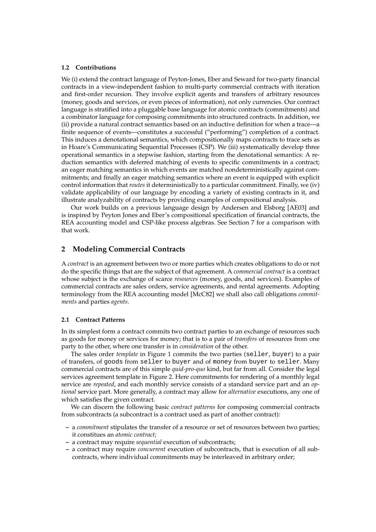# **1.2 Contributions**

We (i) extend the contract language of Peyton-Jones, Eber and Seward for two-party financial contracts in a view-independent fashion to multi-party commercial contracts with iteration and first-order recursion. They involve explicit agents and transfers of arbitrary resources (money, goods and services, or even pieces of information), not only currencies. Our contract language is stratified into a pluggable base language for atomic contracts (commitments) and a combinator language for composing commitments into structured contracts. In addition, we (ii) provide a natural contract semantics based on an inductive definition for when a trace—a finite sequence of events—constitutes a successful ("performing") completion of a contract. This induces a denotational semantics, which compositionally maps contracts to trace sets as in Hoare's Communicating Sequential Processes (CSP). We (iii) systematically develop three operational semantics in a stepwise fashion, starting from the denotational semantics: A reduction semantics with deferred matching of events to specific commitments in a contract; an eager matching semantics in which events are matched nondeterministically against commitments; and finally an eager matching semantics where an event is equipped with explicit control information that *routes* it deterministically to a particular commitment. Finally, we (iv) validate applicability of our language by encoding a variety of existing contracts in it, and illustrate analyzability of contracts by providing examples of compositional analysis.

Our work builds on a previous language design by Andersen and Elsborg [AE03] and is inspired by Peyton Jones and Eber's compositional specification of financial contracts, the REA accounting model and CSP-like process algebras. See Section 7 for a comparison with that work.

# **2 Modeling Commercial Contracts**

A *contract* is an agreement between two or more parties which creates obligations to do or not do the specific things that are the subject of that agreement. A *commercial contract* is a contract whose subject is the exchange of scarce *resources* (money, goods, and services). Examples of commercial contracts are sales orders, service agreements, and rental agreements. Adopting terminology from the REA accounting model [McC82] we shall also call obligations *commitments* and parties *agents*.

#### **2.1 Contract Patterns**

In its simplest form a contract commits two contract parties to an exchange of resources such as goods for money or services for money; that is to a pair of *transfers* of resources from one party to the other, where one transfer is in *consideration* of the other.

The sales order *template* in Figure 1 commits the two parties (seller, buyer) to a pair of transfers, of goods from seller to buyer and of money from buyer to seller. Many commercial contracts are of this simple *quid-pro-quo* kind, but far from all. Consider the legal services agreement template in Figure 2. Here commitments for rendering of a monthly legal service are *repeated*, and each monthly service consists of a standard service part and an *optional* service part. More generally, a contract may allow for *alternative* executions, any one of which satisfies the given contract.

We can discern the following basic *contract patterns* for composing commercial contracts from subcontracts (a subcontract is a contract used as part of another contract):

- **–** a *commitment* stipulates the transfer of a resource or set of resources between two parties; it constitues an *atomic contract*;
- **–** a contract may require *sequential* execution of subcontracts;
- **–** a contract may require *concurrent* execution of subcontracts, that is execution of all subcontracts, where individual commitments may be interleaved in arbitrary order;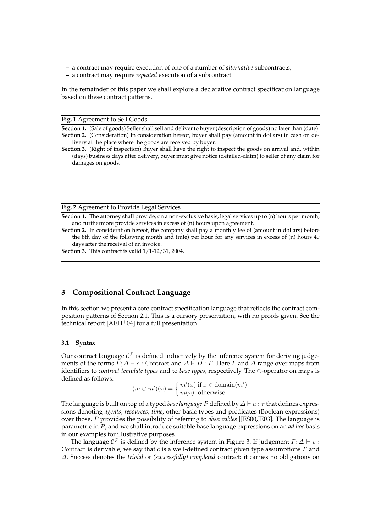- **–** a contract may require execution of one of a number of *alternative* subcontracts;
- **–** a contract may require *repeated* execution of a subcontract.

In the remainder of this paper we shall explore a declarative contract specification language based on these contract patterns.

#### **Fig. 1** Agreement to Sell Goods

**Section 1.** (Sale of goods) Seller shall sell and deliver to buyer (description of goods) no later than (date). **Section 2.** (Consideration) In consideration hereof, buyer shall pay (amount in dollars) in cash on delivery at the place where the goods are received by buyer.

**Section 3.** (Right of inspection) Buyer shall have the right to inspect the goods on arrival and, within (days) business days after delivery, buyer must give notice (detailed-claim) to seller of any claim for damages on goods.

#### **Fig. 2** Agreement to Provide Legal Services

**Section 1.** The attorney shall provide, on a non-exclusive basis, legal services up to (n) hours per month, and furthermore provide services in excess of (n) hours upon agreement.

**Section 2.** In consideration hereof, the company shall pay a monthly fee of (amount in dollars) before the 8th day of the following month and (rate) per hour for any services in excess of (n) hours 40 days after the receival of an invoice.

**Section 3.** This contract is valid 1/1-12/31, 2004.

# **3 Compositional Contract Language**

In this section we present a core contract specification language that reflects the contract composition patterns of Section 2.1. This is a cursory presentation, with no proofs given. See the technical report  $[AEH<sup>+</sup>04]$  for a full presentation.

#### **3.1 Syntax**

Our contract language  $C^{\mathcal{P}}$  is defined inductively by the inference system for deriving judgements of the forms  $\Gamma: \Delta \vdash c :$  Contract and  $\Delta \vdash D : \Gamma$ . Here  $\Gamma$  and  $\Delta$  range over maps from identifiers to *contract template types* and to *base types*, respectively. The ⊕-operator on maps is defined as follows:

$$
(m \oplus m')(x) = \begin{cases} m'(x) \text{ if } x \in \text{domain}(m')\\ m(x) \text{ otherwise} \end{cases}
$$

The language is built on top of a typed *base language* P defined by  $\Delta \vdash a : \tau$  that defines expressions denoting *agents*, *resources*, *time*, other basic types and predicates (Boolean expressions) over those. P provides the possibility of referring to *observables* [JES00,JE03]. The language is parametric in P, and we shall introduce suitable base language expressions on an *ad hoc* basis in our examples for illustrative purposes.

The language  $\mathcal{C}^{\mathcal{P}}$  is defined by the inference system in Figure 3. If judgement  $\Gamma$ ;  $\Delta \vdash c$ : Contract is derivable, we say that  $c$  is a well-defined contract given type assumptions  $\Gamma$  and ∆. Success denotes the *trivial* or *(successfully) completed* contract: it carries no obligations on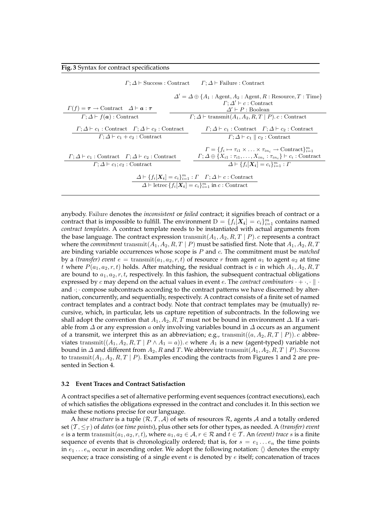| $\Gamma$ : $\Delta \vdash$ Success : Contract                                                                                                                                               | $\Gamma: \Delta \vdash \mathrm{Failure}: \mathrm{Contract}$                                                                                                                                                     |  |  |  |
|---------------------------------------------------------------------------------------------------------------------------------------------------------------------------------------------|-----------------------------------------------------------------------------------------------------------------------------------------------------------------------------------------------------------------|--|--|--|
| $\Gamma(f) = \tau \to \text{Contract } \Delta \vdash a : \tau$                                                                                                                              | $\Delta' = \Delta \oplus \{A_1 : \text{Agent}, A_2 : \text{Agent}, R : \text{Resource}, T : \text{Time}\}\$<br>$\Gamma: \Delta' \vdash c :$ Contract<br>$\Lambda' \vdash P : \text{Boolean}$                    |  |  |  |
| $\Gamma; \Delta \vdash f(\boldsymbol{a}) :$ Contract                                                                                                                                        | $\Gamma$ : $\Delta$ + transmit $(A_1, A_2, R, T   P)$ . c : Contract                                                                                                                                            |  |  |  |
| $\Gamma$ ; $\Delta \vdash c_1$ : Contract $\Gamma$ ; $\Delta \vdash c_2$ : Contract<br>$\Gamma: \Delta \vdash c_1 + c_2 :$ Contract                                                         | $\Gamma$ ; $\Delta \vdash c_1$ : Contract $\Gamma$ ; $\Delta \vdash c_2$ : Contract<br>$\Gamma: \Delta \vdash c_1 \parallel c_2$ : Contract                                                                     |  |  |  |
| $\Gamma$ : $\Delta \vdash c_1$ : Contract $\Gamma$ : $\Delta \vdash c_2$ : Contract                                                                                                         | $\Gamma = \{f_i \mapsto \tau_{i1} \times \ldots \times \tau_{in_i} \to \text{Contract}\}_{i=1}^m$<br>$\Gamma: \Delta \oplus \{X_{i1} : \tau_{i1}, \ldots, X_{in_i} : \tau_{in_i}\}\vdash c_i : \text{Contract}$ |  |  |  |
| $\Gamma$ : $\Delta \vdash c_1$ : $c_2$ : Contract                                                                                                                                           | $\Delta \vdash \{f_i[\bm{X_i}] = c_i\}_{i=1}^m : \Gamma$                                                                                                                                                        |  |  |  |
| $\Delta \vdash \{f_i[\bm{X_i}] = c_i\}_{i=1}^m : \Gamma \quad \Gamma; \Delta \vdash c : \text{Contract}$<br>$\Delta \vdash$ letrec $\{f_i[\boldsymbol{X}_i] = c_i\}_{i=1}^m$ in c: Contract |                                                                                                                                                                                                                 |  |  |  |

anybody. Failure denotes the *inconsistent* or *failed* contract; it signifies breach of contract or a contract that is impossible to fulfill. The environment  $D = \{f_i[\bm{X_i}] = c_i\}_{i=1}^m$  contains named *contract templates*. A contract template needs to be instantiated with actual arguments from the base language. The contract expression transmit( $A_1, A_2, R, T | P$ ). c represents a contract where the *commitment* transmit( $A_1, A_2, R, T \mid P$ ) must be satisfied first. Note that  $A_1, A_2, R, T$ are binding variable occurrences whose scope is P and c. The commitment must be *matched* by a *(transfer)* event  $e = \text{transmit}(a_1, a_2, r, t)$  of resource r from agent  $a_1$  to agent  $a_2$  at time t where  $P(a_1, a_2, r, t)$  holds. After matching, the residual contract is c in which  $A_1, A_2, R, T$ are bound to  $a_1, a_2, r, t$ , respectively. In this fashion, the subsequent contractual obligations expressed by c may depend on the actual values in event e. The *contract combinators*  $\cdot + \cdot, \cdot \parallel \cdot$ and  $\cdot$ : compose subcontracts according to the contract patterns we have discerned: by alternation, concurrently, and sequentially, respectively. A contract consists of a finite set of named contract templates and a contract body. Note that contract templates may be (mutually) recursive, which, in particular, lets us capture repetition of subcontracts. In the following we shall adopt the convention that  $A_1, A_2, R, T$  must not be bound in environment  $\Delta$ . If a variable from  $\Delta$  or any expression a only involving variables bound in  $\Delta$  occurs as an argument of a transmit, we interpret this as an abbreviation; e.g., transmit( $(a, A_2, R, T | P)$ ). c abbreviates transmit( $(A_1, A_2, R, T \mid P \land A_1 = a)$ ). c where  $A_1$  is a new (agent-typed) variable not bound in  $\Delta$  and different from  $A_2, R$  and T. We abbreviate transmit $(A_1, A_2, R, T | P)$ . Success to transmit( $A_1, A_2, R, T \mid P$ ). Examples encoding the contracts from Figures 1 and 2 are presented in Section 4.

#### **3.2 Event Traces and Contract Satisfaction**

A contract specifies a set of alternative performing event sequences (contract executions), each of which satisfies the obligations expressed in the contract and concludes it. In this section we make these notions precise for our language.

A *base structure* is a tuple  $(R, T, A)$  of sets of resources  $R$ , agents A and a totally ordered set  $(T, \leq_T)$  of *dates* (or *time points*), plus other sets for other types, as needed. A *(transfer) event* e is a term transmit $(a_1, a_2, r, t)$ , where  $a_1, a_2 \in A, r \in \mathcal{R}$  and  $t \in \mathcal{T}$ . An *(event) trace* s is a finite sequence of events that is chronologically ordered; that is, for  $s = e_1 \dots e_n$  the time points in  $e_1 \ldots e_n$  occur in ascending order. We adopt the following notation:  $\langle \rangle$  denotes the empty sequence; a trace consisting of a single event  $e$  is denoted by  $e$  itself; concatenation of traces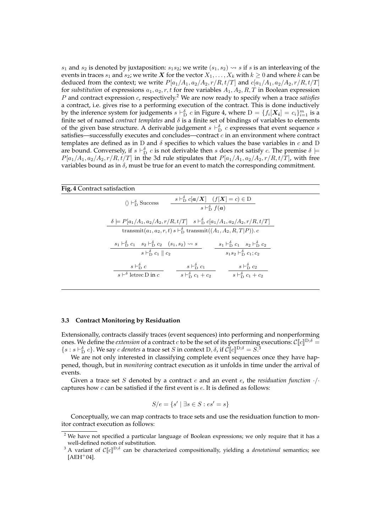$s_1$  and  $s_2$  is denoted by juxtaposition:  $s_1s_2$ ; we write  $(s_1, s_2) \rightsquigarrow s$  if s is an interleaving of the events in traces  $s_1$  and  $s_2$ ; we write X for the vector  $X_1, \ldots, X_k$  with  $k \geq 0$  and where k can be deduced from the context; we write  $P[a_1/A_1, a_2/A_2, r/R, t/T]$  and  $c[a_1/A_1, a_2/A_2, r/R, t/T]$ for *substitution* of expressions  $a_1, a_2, r, t$  for free variables  $A_1, A_2, R, T$  in Boolean expression P and contract expression c, respectively.<sup>2</sup> We are now ready to specify when a trace *satisfies* a contract, i.e. gives rise to a performing execution of the contract. This is done inductively by the inference system for judgements  $s \vdash_{\mathrm{D}}^{\delta} c$  in Figure 4, where  $\mathrm{D} = \{f_i[\bm{X_i}] = c_i\}_{i=1}^m$  is a finite set of named *contract templates* and δ is a finite set of bindings of variables to elements of the given base structure. A derivable judgement  $s \vdash_D^{\delta} c$  expresses that event sequence s satisfies—successfully executes and concludes—contract  $c$  in an environment where contract templates are defined as in D and  $\delta$  specifies to which values the base variables in c and D are bound. Conversely, if  $s \vdash_{\mathrm{D}}^{\delta} c$  is not derivable then  $s$  does not satisfy  $c$ . The premise  $\delta \models$  $P[a_1/A_1, a_2/A_2, r/R, t/T]$  in the 3d rule stipulates that  $P[a_1/A_1, a_2/A_2, r/R, t/T]$ , with free variables bound as in  $\delta$ , must be true for an event to match the corresponding commitment.

| Fig. 4 Contract satisfaction                                                                                                                                                                                |                                                                                                                                                                       |                                                             |
|-------------------------------------------------------------------------------------------------------------------------------------------------------------------------------------------------------------|-----------------------------------------------------------------------------------------------------------------------------------------------------------------------|-------------------------------------------------------------|
| $\langle \rangle \vdash_{\mathcal{D}}^{\delta}$ Success                                                                                                                                                     | $s \vdash_{\mathcal{D}}^{\delta} c[\boldsymbol{a}/\boldsymbol{X}] \quad (f[\boldsymbol{X}] = c) \in \mathcal{D}$<br>$s\vdash^{\delta}_{\mathcal{D}}f(\boldsymbol{a})$ |                                                             |
| $\delta \models P[a_1/A_1, a_2/A_2, r/R, t/T]$ $s \vdash_D^{\delta} c[a_1/A_1, a_2/A_2, r/R, t/T]$                                                                                                          |                                                                                                                                                                       |                                                             |
| transmit $(a_1, a_2, r, t)$ s $\vdash_{\mathcal{D}}^{\delta}$ transmit $((A_1, A_2, R, T   P)).$ c                                                                                                          |                                                                                                                                                                       |                                                             |
| $s_1 \vdash_{\mathcal{D}}^{\delta} c_1$ $s_2 \vdash_{\mathcal{D}}^{\delta} c_2$ $(s_1, s_2) \rightsquigarrow s$                                                                                             |                                                                                                                                                                       | $s_1 \vdash_D^{\delta} c_1 \quad s_2 \vdash_D^{\delta} c_2$ |
| $s\vdash_{\mathcal{D}}^{\delta} c_1 \parallel c_2$                                                                                                                                                          |                                                                                                                                                                       | $s_1s_2 \vdash_{\mathcal{D}}^{\delta} c_1;c_2$              |
| $\frac{s\vdash_D^{\delta} c}{s\vdash^{\delta} \text{letrec D in } c} \qquad \frac{s\vdash_D^{\delta} c_1}{s\vdash_D^{\delta} c_1 + c_2} \qquad \frac{s\vdash_D^{\delta} c_2}{s\vdash_D^{\delta} c_1 + c_2}$ |                                                                                                                                                                       | $s\vdash_{\mathcal{D}}^{\delta} c_2$                        |
|                                                                                                                                                                                                             |                                                                                                                                                                       |                                                             |

#### **3.3 Contract Monitoring by Residuation**

Extensionally, contracts classify traces (event sequences) into performing and nonperforming ones. We define the *extension* of a contract c to be the set of its performing executions:  $\mathcal{C}[[c]]^{D,\delta} =$  $\{s : s \vdash_{\mathcal{D}}^{\delta} c\}$ . We say *c denotes* a trace set S in context D,  $\delta$ , if  $\mathcal{C}[\![c]\!]^{\mathcal{D};\delta} = S$ .

We are not only interested in classifying complete event sequences once they have happened, though, but in *monitoring* contract execution as it unfolds in time under the arrival of events.

Given a trace set S denoted by a contract c and an event e, the *residuation function* ·/· captures how  $c$  can be satisfied if the first event is  $e$ . It is defined as follows:

$$
S/e = \{s' \mid \exists s \in S : es' = s\}
$$

Conceptually, we can map contracts to trace sets and use the residuation function to monitor contract execution as follows:

 $2$  We have not specified a particular language of Boolean expressions; we only require that it has a well-defined notion of substitution.

<sup>&</sup>lt;sup>3</sup> A variant of  $\mathcal{C}[[c]]^{D;\delta}$  can be characterized compositionally, yielding a *denotational* semantics; see  $[AEH^+04]$ .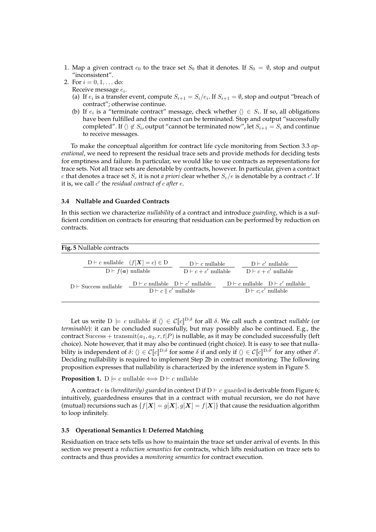- 1. Map a given contract  $c_0$  to the trace set  $S_0$  that it denotes. If  $S_0 = \emptyset$ , stop and output "inconsistent".
- 2. For  $i = 0, 1, \ldots$  do:

Receive message  $e_i$ .

- (a) If  $e_i$  is a transfer event, compute  $S_{i+1} = S_i/e_i$ . If  $S_{i+1} = \emptyset$ , stop and output "breach of contract"; otherwise continue.
- (b) If  $e_i$  is a "terminate contract" message, check whether  $\langle \rangle \in S_i$ . If so, all obligations have been fulfilled and the contract can be terminated. Stop and output "successfully completed". If  $\langle \rangle \not\in S_i$ , output "cannot be terminated now", let  $S_{i+1} = S_i$  and continue to receive messages.

To make the conceptual algorithm for contract life cycle monitoring from Section 3.3 *operational*, we need to represent the residual trace sets and provide methods for deciding tests for emptiness and failure. In particular, we would like to use contracts as representations for trace sets. Not all trace sets are denotable by contracts, however. In particular, given a contract c that denotes a trace set  $S_c$  it is not *a priori* clear whether  $S_c/e$  is denotable by a contract  $c'$ . If it is, we call c 0 the *residual contract of* c *after* e.

# **3.4 Nullable and Guarded Contracts**

In this section we characterize *nullability* of a contract and introduce *guarding*, which is a sufficient condition on contracts for ensuring that residuation can be performed by reduction on contracts.

#### **Fig. 5** Nullable contracts

|                             | $D \vdash c$ nullable $(f[X] = c) \in D$<br>$D \vdash f(a)$ nullable               | $D \vdash c$ nullable<br>$D \vdash c + c'$ nullable |  | $D \vdash c'$ nullable<br>$D \vdash c + c'$ nullable                      |
|-----------------------------|------------------------------------------------------------------------------------|-----------------------------------------------------|--|---------------------------------------------------------------------------|
| $D \vdash$ Success nullable | $D \vdash c$ nullable $D \vdash c'$ nullable<br>$D \vdash c \parallel c'$ nullable |                                                     |  | $D \vdash c$ nullable $D \vdash c'$ nullable<br>$D \vdash c; c'$ nullable |

Let us write  $D \models c$  nullable if  $\langle \rangle \in C[[c]]^{D;\delta}$  for all  $\delta$ . We call such a contract *nullable* (or *terminable*): it can be concluded successfully, but may possibly also be continued. E.g., the contract Success + transmit( $a_1, a_2, r, t|P$ ) is nullable, as it may be concluded successfully (left choice). Note however, that it may also be continued (right choice). It is easy to see that nullability is independent of  $\delta$ :  $\langle \rangle \in C[[c]]^{D;\delta}$  for some  $\delta$  if and only if  $\langle \rangle \in C[[c]]^{D;\delta'}$  for any other  $\delta'$ . Deciding nullability is required to implement Step 2b in contract monitoring. The following proposition expresses that nullability is characterized by the inference system in Figure 5.

#### **Proposition 1.**  $D \models c$  nullable  $\Longleftrightarrow D \vdash c$  nullable

A contract *c* is *(hereditarily)* guarded in context D if  $D \vdash c$  guarded is derivable from Figure 6; intuitively, guardedness ensures that in a contract with mutual recursion, we do not have (mutual) recursions such as  $\{f[\mathbf{X}] = g[\mathbf{X}], g[\mathbf{X}] = f[\mathbf{X}]\}$  that cause the residuation algorithm to loop infinitely.

#### **3.5 Operational Semantics I: Deferred Matching**

Residuation on trace sets tells us how to maintain the trace set under arrival of events. In this section we present a *reduction semantics* for contracts, which lifts residuation on trace sets to contracts and thus provides a *monitoring semantics* for contract execution.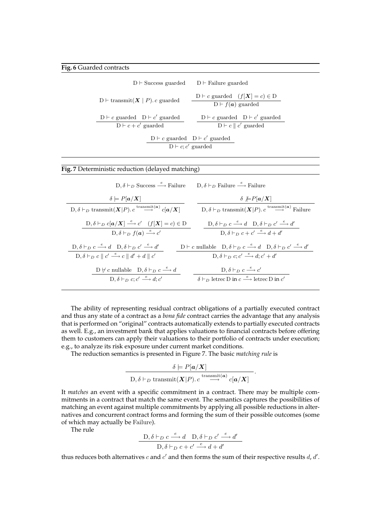| $D \vdash$ Success guarded                                                               | $D \vdash$ Failure guarded                                         |  |  |  |  |
|------------------------------------------------------------------------------------------|--------------------------------------------------------------------|--|--|--|--|
| $D \vdash \text{transmit}(\boldsymbol{X} \mid P)$ . c guarded                            | $D \vdash c$ guarded $(f[X] = c) \in D$<br>$D \vdash f(a)$ guarded |  |  |  |  |
| $D \vdash c$ guarded $D \vdash c'$ guarded<br>$D \vdash c$ guarded $D \vdash c'$ guarded |                                                                    |  |  |  |  |
| $D \vdash c + c'$ guarded<br>$D \vdash c \parallel c'$ guarded                           |                                                                    |  |  |  |  |
| $D \vdash c$ guarded $D \vdash c'$ guarded<br>$D \vdash c; c'$ guarded                   |                                                                    |  |  |  |  |

### **Fig. 7** Deterministic reduction (delayed matching)

L

| $D, \delta \vdash_D$ Success $\xrightarrow{e}$ Failure                                                                                                         | $D, \delta \vdash_D$ Failure $\stackrel{e}{\longrightarrow}$ Failure                                                                                                        |
|----------------------------------------------------------------------------------------------------------------------------------------------------------------|-----------------------------------------------------------------------------------------------------------------------------------------------------------------------------|
| $\delta = P a/X $                                                                                                                                              | $\delta \not\models P[a/X]$                                                                                                                                                 |
| $D, \delta \vdash_D \text{transmit}(\boldsymbol{X}   P) \ldotp c \stackrel{\text{transmit}(\boldsymbol{a})}{\longrightarrow} c[\boldsymbol{a}/\boldsymbol{X}]$ | $D, \delta \vdash_D \text{transmit}(\boldsymbol{X}   P) \ldotp c \stackrel{\text{transmit}(\boldsymbol{a})}{\longrightarrow} \text{Failure}$                                |
| $D, \delta \vdash_D c[a/X] \stackrel{e}{\longrightarrow} c' \quad (f[X] = c) \in D$                                                                            | $D, \delta \vdash_D c \stackrel{e}{\longrightarrow} d \quad D, \delta \vdash_D c' \stackrel{e}{\longrightarrow} d'$                                                         |
| $D, \delta \vdash_D f(a) \xrightarrow{e} c'$                                                                                                                   | $D, \delta \vdash_{D} c + c' \xrightarrow{e} d + d'$                                                                                                                        |
| $D, \delta \vdash_D c \stackrel{e}{\longrightarrow} d$ $D, \delta \vdash_D c' \stackrel{e}{\longrightarrow} d'$                                                | $D \vdash c$ nullable $D, \delta \vdash_D c \stackrel{e}{\longrightarrow} d$ $D, \delta \vdash_D c' \stackrel{e}{\longrightarrow} d'$                                       |
| $D, \delta \vdash_D c \parallel c' \stackrel{e}{\longrightarrow} c \parallel d' + d \parallel c'$                                                              | $D, \delta \vdash_{D} c; c' \stackrel{e}{\longrightarrow} d; c' + d'$                                                                                                       |
| $D \not\vdash c$ nullable $D, \delta \vdash_D c \stackrel{e}{\longrightarrow} d$<br>$D, \delta \vdash_D c; c' \stackrel{e}{\longrightarrow} d; c'$             | $D, \delta \vdash_{D} c \stackrel{e}{\longrightarrow} c'$<br>$\delta \vdash_D \text{letrec } D \text{ in } c \stackrel{e}{\longrightarrow} \text{letrec } D \text{ in } c'$ |

The ability of representing residual contract obligations of a partially executed contract and thus any state of a contract as a *bona fide* contract carries the advantage that any analysis that is performed on "original" contracts automatically extends to partially executed contracts as well. E.g., an investment bank that applies valuations to financial contracts before offering them to customers can apply their valuations to their portfolio of contracts under execution; e.g., to analyze its risk exposure under current market conditions.

The reduction semantics is presented in Figure 7. The basic *matching rule* is

$$
\frac{\delta \models P[\mathbf{a}/\mathbf{X}]}{\mathrm{D}, \delta \vdash_D \text{transmit}(\mathbf{X}|P). c^{\text{transmit}(\mathbf{a})} c[\mathbf{a}/\mathbf{X}]}.
$$

It *matches* an event with a specific commitment in a contract. There may be multiple commitments in a contract that match the same event. The semantics captures the possibilities of matching an event against multiple commitments by applying all possible reductions in alternatives and concurrent contract forms and forming the sum of their possible outcomes (some of which may actually be Failure).

The rule

$$
\frac{D, \delta \vdash_D c \xrightarrow{e} d \quad D, \delta \vdash_D c' \xrightarrow{e} d'}{D, \delta \vdash_D c + c' \xrightarrow{e} d + d'}
$$

thus reduces both alternatives c and  $c'$  and then forms the sum of their respective results d, d'.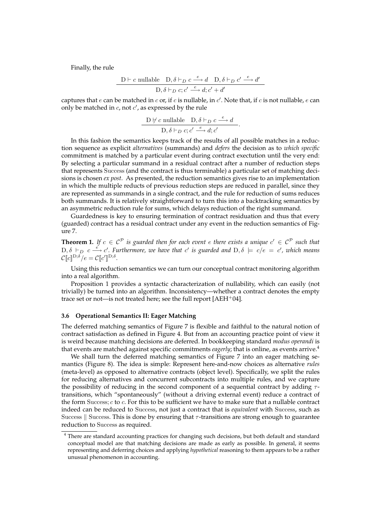Finally, the rule

$$
\frac{\mathcal{D} \vdash c \text{ nullable } \mathcal{D}, \delta \vdash_{D} c \xrightarrow{e} d \mathcal{D}, \delta \vdash_{D} c' \xrightarrow{e} d'}{\mathcal{D}, \delta \vdash_{D} c; c' \xrightarrow{e} d; c' + d'}
$$

captures that e can be matched in c or, if c is nullable, in c'. Note that, if c is not nullable, e can only be matched in  $c$ , not  $c'$ , as expressed by the rule

$$
\frac{D \not\vdash c \text{ nullable } D, \delta \vdash_D c \xrightarrow{e} d}{D, \delta \vdash_D c; c' \xrightarrow{e} d; c'}
$$

.

In this fashion the semantics keeps track of the results of all possible matches in a reduction sequence as explicit *alternatives* (summands) and *defers* the decision as to *which specific* commitment is matched by a particular event during contract exectution until the very end: By selecting a particular summand in a residual contract after a number of reduction steps that represents Success (and the contract is thus terminable) a particular set of matching decisions is chosen *ex post*. As presented, the reduction semantics gives rise to an implementation in which the multiple reducts of previous reduction steps are reduced in parallel, since they are represented as summands in a single contract, and the rule for reduction of sums reduces both summands. It is relatively straightforward to turn this into a backtracking semantics by an asymmetric reduction rule for sums, which delays reduction of the right summand.

Guardedness is key to ensuring termination of contract residuation and thus that every (guarded) contract has a residual contract under any event in the reduction semantics of Figure 7.

**Theorem 1.** If  $c \in C^{\mathcal{P}}$  is guarded then for each event e there exists a unique  $c' \in C^{\mathcal{P}}$  such that  $D, \delta \vdash_D c \stackrel{e}{\longrightarrow} c'.$  Furthermore, we have that  $c'$  is guarded and  $D, \delta \models c/e = c'$ , which means  $\mathcal{C}[[c]]^{\text{D};\delta}/e = \mathcal{C}[[c']^{\text{D};\delta}.$ 

Using this reduction semantics we can turn our conceptual contract monitoring algorithm into a real algorithm.

Proposition 1 provides a syntactic characterization of nullability, which can easily (not trivially) be turned into an algorithm. Inconsistency—whether a contract denotes the empty trace set or not—is not treated here; see the full report  $[AEH^+04]$ .

#### **3.6 Operational Semantics II: Eager Matching**

The deferred matching semantics of Figure 7 is flexible and faithful to the natural notion of contract satisfaction as defined in Figure 4. But from an accounting practice point of view it is weird because matching decisions are deferred. In bookkeeping standard *modus operandi* is that events are matched against specific commitments *eagerly*; that is online, as events arrive.<sup>4</sup>

We shall turn the deferred matching semantics of Figure 7 into an eager matching semantics (Figure 8). The idea is simple: Represent here-and-now choices as alternative *rules* (meta-level) as opposed to alternative contracts (object level). Specifically, we split the rules for reducing alternatives and concurrent subcontracts into multiple rules, and we capture the possibility of reducing in the second component of a sequential contract by adding  $\tau$ transitions, which "spontaneously" (without a driving external event) reduce a contract of the form Success;  $c$  to  $c$ . For this to be sufficient we have to make sure that a nullable contract indeed can be reduced to Success, not just a contract that is *equivalent* with Success, such as Success  $\parallel$  Success. This is done by ensuring that  $\tau$ -transitions are strong enough to guarantee reduction to Success as required.

<sup>&</sup>lt;sup>4</sup> There are standard accounting practices for changing such decisions, but both default and standard conceptual model are that matching decisions are made as early as possible. In general, it seems representing and deferring choices and applying *hypothetical* reasoning to them appears to be a rather unusual phenomenon in accounting.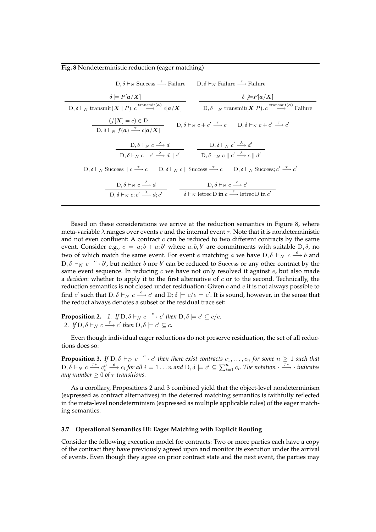| Fig. 8 Nondeterministic reduction (eager matching) |  |  |  |  |  |  |  |
|----------------------------------------------------|--|--|--|--|--|--|--|
|----------------------------------------------------|--|--|--|--|--|--|--|

| $D, \delta \vdash_N$ Success $\xrightarrow{e}$ Failure $D, \delta \vdash_N$ Failure $\xrightarrow{e}$ Failure                                                                                                                                     |                                                                                                                                |
|---------------------------------------------------------------------------------------------------------------------------------------------------------------------------------------------------------------------------------------------------|--------------------------------------------------------------------------------------------------------------------------------|
| $\delta = P[a/X]$                                                                                                                                                                                                                                 | $\delta \not\models P[a/X]$                                                                                                    |
| $D, \delta \vdash_N \text{transmit}(X \mid P) \text{ . } c \stackrel{\text{transmit}(a)}{\longrightarrow} c[a/X]$ $D, \delta \vdash_N \text{transmit}(X \mid P) \text{ . } c \stackrel{\text{transmit}(a)}{\longrightarrow}$                      | $\operatorname{Failure}$                                                                                                       |
| $(f[X] = c) \in D$<br>$D, \delta \vdash_N f(a) \stackrel{\tau}{\longrightarrow} c[a/X]$                                                                                                                                                           | $D, \delta \vdash_N c + c' \stackrel{\tau}{\longrightarrow} c$ $D, \delta \vdash_N c + c' \stackrel{\tau}{\longrightarrow} c'$ |
| $D, \delta \vdash_N c \stackrel{\lambda}{\longrightarrow} d$                                                                                                                                                                                      | $D, \delta \vdash_N c' \stackrel{\lambda}{\longrightarrow} d'$                                                                 |
| $D, \delta \vdash_N c \parallel c' \stackrel{\lambda}{\longrightarrow} d \parallel c'$                                                                                                                                                            | D, $\delta \vdash_N c \parallel c' \stackrel{\lambda}{\longrightarrow} c \parallel d'$                                         |
| $D, \delta \vdash_N \text{Success} \parallel c \stackrel{\tau}{\longrightarrow} c$ $D, \delta \vdash_N c \parallel \text{Success} \stackrel{\tau}{\longrightarrow} c$ $D, \delta \vdash_N \text{Success}; c' \stackrel{\tau}{\longrightarrow} c'$ |                                                                                                                                |
| $D, \delta \vdash_N c \stackrel{\lambda}{\longrightarrow} d$                                                                                                                                                                                      | $D, \delta \vdash_N c \stackrel{e}{\longrightarrow} c'$                                                                        |
| $D, \delta \vdash_N c; c' \stackrel{\lambda}{\longrightarrow} d; c'$                                                                                                                                                                              | $\delta \vdash_N \text{letrec D in } c \stackrel{e}{\longrightarrow} \text{letrec D in } c'$                                   |

Based on these considerations we arrive at the reduction semantics in Figure 8, where meta-variable  $\lambda$  ranges over events e and the internal event  $\tau$ . Note that it is nondeterministic and not even confluent: A contract  $c$  can be reduced to two different contracts by the same event. Consider e.g.,  $c = a; b + a; b'$  where  $a, b, b'$  are commitments with suitable D,  $\delta$ , no two of which match the same event. For event e matching a we have  $D, \delta \vdash_N c \stackrel{e}{\longrightarrow} b$  and  $D, \delta \vdash_N c \stackrel{e}{\longrightarrow} b'$ , but neither b nor b' can be reduced to Success or any other contract by the same event sequence. In reducing  $c$  we have not only resolved it against  $e$ , but also made a *decision*: whether to apply it to the first alternative of c or to the second. Technically, the reduction semantics is not closed under residuation: Given  $c$  and  $e$  it is not always possible to find c' such that  $D, \delta \vdash_N c \stackrel{e}{\longrightarrow} c'$  and  $D, \delta \models c/e = c'$ . It is sound, however, in the sense that the reduct always denotes a subset of the residual trace set:

**Proposition 2.** 1. If  $D, \delta \vdash_N c \stackrel{e}{\longrightarrow} c'$  then  $D, \delta \models c' \subseteq c/e$ . 2. If  $D, \delta \vdash_N c \stackrel{\tau}{\longrightarrow} c'$  then  $D, \delta \models c' \subseteq c$ .

Even though individual eager reductions do not preserve residuation, the set of all reductions does so:

**Proposition 3.** If  $D, \delta \vdash_D c \stackrel{e}{\longrightarrow} c'$  then there exist contracts  $c_1, \ldots, c_n$  for some  $n \geq 1$  such that  $D, \delta \vdash_N c \xrightarrow{r*} c''_i \xrightarrow{e} c_i$  for all  $i = 1 \ldots n$  and  $D, \delta \models c' \subseteq \sum_{i=1}^n c_i$ . The notation ·  $\xrightarrow{r*}$  · indicates *any number*  $\geq 0$  *of*  $\tau$ -transitions.

As a corollary, Propositions 2 and 3 combined yield that the object-level nondeterminism (expressed as contract alternatives) in the deferred matching semantics is faithfully reflected in the meta-level nondeterminism (expressed as multiple applicable rules) of the eager matching semantics.

#### **3.7 Operational Semantics III: Eager Matching with Explicit Routing**

Consider the following execution model for contracts: Two or more parties each have a copy of the contract they have previously agreed upon and monitor its execution under the arrival of events. Even though they agree on prior contract state and the next event, the parties may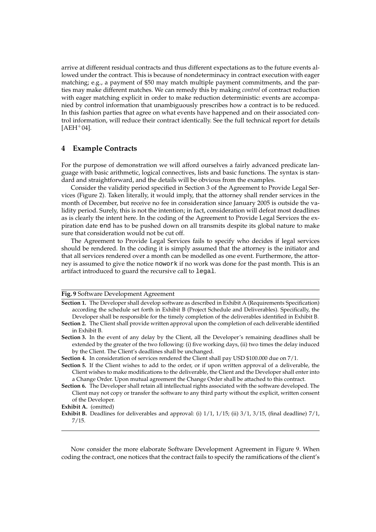arrive at different residual contracts and thus different expectations as to the future events allowed under the contract. This is because of nondeterminacy in contract execution with eager matching; e.g., a payment of \$50 may match multiple payment commitments, and the parties may make different matches. We can remedy this by making *control* of contract reduction with eager matching explicit in order to make reduction deterministic: events are accompanied by control information that unambiguously prescribes how a contract is to be reduced. In this fashion parties that agree on what events have happened and on their associated control information, will reduce their contract identically. See the full technical report for details  $[AEH<sup>+</sup>04]$ .

# **4 Example Contracts**

For the purpose of demonstration we will afford ourselves a fairly advanced predicate language with basic arithmetic, logical connectives, lists and basic functions. The syntax is standard and straightforward, and the details will be obvious from the examples.

Consider the validity period specified in Section 3 of the Agreement to Provide Legal Services (Figure 2). Taken literally, it would imply, that the attorney shall render services in the month of December, but receive no fee in consideration since January 2005 is outside the validity period. Surely, this is not the intention; in fact, consideration will defeat most deadlines as is clearly the intent here. In the coding of the Agreement to Provide Legal Services the expiration date end has to be pushed down on all transmits despite its global nature to make sure that consideration would not be cut off.

The Agreement to Provide Legal Services fails to specify who decides if legal services should be rendered. In the coding it is simply assumed that the attorney is the initiator and that all services rendered over a month can be modelled as one event. Furthermore, the attorney is assumed to give the notice nowork if no work was done for the past month. This is an artifact introduced to guard the recursive call to legal.

**Fig. 9** Software Development Agreement

- **Section 1.** The Developer shall develop software as described in Exhibit A (Requirements Specification) according the schedule set forth in Exhibit B (Project Schedule and Deliverables). Specifically, the Developer shall be responsible for the timely completion of the deliverables identified in Exhibit B.
- **Section 2.** The Client shall provide written approval upon the completion of each deliverable identified in Exhibit B.
- **Section 3.** In the event of any delay by the Client, all the Developer's remaining deadlines shall be extended by the greater of the two following: (i) five working days, (ii) two times the delay induced by the Client. The Client's deadlines shall be unchanged.

**Section 4.** In consideration of services rendered the Client shall pay USD \$100.000 due on 7/1.

- **Section 5.** If the Client wishes to add to the order, or if upon written approval of a deliverable, the Client wishes to make modifications to the deliverable, the Client and the Developer shall enter into a Change Order. Upon mutual agreement the Change Order shall be attached to this contract.
- **Section 6.** The Developer shall retain all intellectual rights associated with the software developed. The Client may not copy or transfer the software to any third party without the explicit, written consent of the Developer.

**Exhibit B.** Deadlines for deliverables and approval: (i)  $1/1$ ,  $1/15$ ; (ii)  $3/1$ ,  $3/15$ , (final deadline)  $7/1$ , 7/15.

Now consider the more elaborate Software Development Agreement in Figure 9. When coding the contract, one notices that the contract fails to specify the ramifications of the client's

**Exhibit A.** (omitted)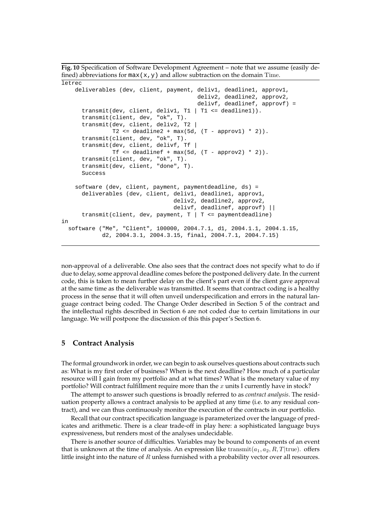**Fig. 10** Specification of Software Development Agreement – note that we assume (easily defined) abbreviations for  $max(x, y)$  and allow subtraction on the domain Time. letrec

```
deliverables (dev, client, payment, deliv1, deadline1, approv1,
                                        deliv2, deadline2, approv2,
                                        delivf, deadlinef, approvf) =
      transmit(dev, client, deliv1, T1 | T1 <= deadline1)).
      transmit(client, dev, "ok", T).
      transmit(dev, client, deliv2, T2 |
               T2 \le deadline2 + max(5d, (T - approv1) * 2)).
      transmit(client, dev, "ok", T).
      transmit(dev, client, delivf, Tf |
               Tf \le deadlinef + max(5d, (T - approv2) * 2)).
      transmit(client, dev, "ok", T).
      transmit(dev, client, "done", T).
      Success
    software (dev, client, payment, paymentdeadline, ds) =
      deliverables (dev, client, deliv1, deadline1, approv1,
                                 deliv2, deadline2, approv2,
                                 delivf, deadlinef, approvf) ||
      transmit(client, dev, payment, T | T \leq paymentdeadline)
in
 software ("Me", "Client", 100000, 2004.7.1, d1, 2004.1.1, 2004.1.15,
            d2, 2004.3.1, 2004.3.15, final, 2004.7.1, 2004.7.15)
```
non-approval of a deliverable. One also sees that the contract does not specify what to do if due to delay, some approval deadline comes before the postponed delivery date. In the current code, this is taken to mean further delay on the client's part even if the client gave approval at the same time as the deliverable was transmitted. It seems that contract coding is a healthy process in the sense that it will often unveil underspecification and errors in the natural language contract being coded. The Change Order described in Section 5 of the contract and the intellectual rights described in Section 6 are not coded due to certain limitations in our language. We will postpone the discussion of this this paper's Section 6.

# **5 Contract Analysis**

The formal groundwork in order, we can begin to ask ourselves questions about contracts such as: What is my first order of business? When is the next deadline? How much of a particular resource will I gain from my portfolio and at what times? What is the monetary value of my portfolio? Will contract fulfillment require more than the  $x$  units I currently have in stock?

The attempt to answer such questions is broadly referred to as *contract analysis*. The residuation property allows a contract analysis to be applied at any time (i.e. to any residual contract), and we can thus continuously monitor the execution of the contracts in our portfolio.

Recall that our contract specification language is parameterized over the language of predicates and arithmetic. There is a clear trade-off in play here: a sophisticated language buys expressiveness, but renders most of the analyses undecidable.

There is another source of difficulties. Variables may be bound to components of an event that is unknown at the time of analysis. An expression like transmit $(a_1, a_2, R, T |$ true). offers little insight into the nature of  $R$  unless furnished with a probability vector over all resources.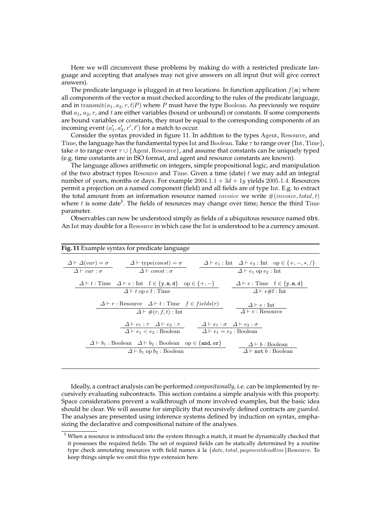Here we will circumvent these problems by making do with a restricted predicate language and accepting that analyses may not give answers on all input (but will give correct answers).

The predicate language is plugged in at two locations. In function application  $f(\boldsymbol{a})$  where all components of the vector  $a$  must checked according to the rules of the predicate language, and in transmit $(a_1, a_2, r, t|P)$  where P must have the type Boolean. As previously we require that  $a_1$ ,  $a_2$ ,  $r$ , and  $t$  are either variables (bound or unbound) or constants. If some components are bound variables or constants, they must be equal to the corresponding components of an incoming event  $(a'_1, a'_2, r', t')$  for a match to occur.

Consider the syntax provided in figure 11. In addition to the types Agent, Resource, and Time, the language has the fundamental types Int and Boolean. Take  $\tau$  to range over  $\{Int, Time\}$ , take  $\sigma$  to range over  $\tau \cup \{Agent, Resource\}$ , and assume that constants can be uniquely typed (e.g. time constants are in ISO format, and agent and resource constants are known).

The language allows arithmetic on integers, simple propositional logic, and manipulation of the two abstract types Resource and Time. Given a time (date)  $t$  we may add an integral number of years, months or days. For example  $2004.1.1 + 3d + 1y$  yields  $2005.1.4$ . Resources permit a projection on a named component (field) and all fields are of type Int. E.g. to extract the total amount from an information resource named *invoice* we write  $\#(invoice, total, t)$ where  $t$  is some date<sup>5</sup>. The fields of resources may change over time; hence the third Time parameter.

Observables can now be understood simply as fields of a ubiquitous resource named obs. An Int may double for a Resource in which case the Int is understood to be a currency amount.

|                                       | Fig. 11 Example syntax for predicate language                                                                                                                |                                                                                                       |                                                                                     |  |
|---------------------------------------|--------------------------------------------------------------------------------------------------------------------------------------------------------------|-------------------------------------------------------------------------------------------------------|-------------------------------------------------------------------------------------|--|
| $\Delta \vdash \Delta (var) = \sigma$ | $\Delta \vdash \text{type}(const) = \sigma$                                                                                                                  |                                                                                                       | $\Delta \vdash e_1$ : Int $\Delta \vdash e_2$ : Int op $\in \{+, -, *, /\}$         |  |
| $\Delta$ + var : $\sigma$             | $\Delta \vdash const : \sigma$                                                                                                                               |                                                                                                       | $\Delta \vdash e_1$ op $e_2$ : Int                                                  |  |
|                                       | $\Delta \vdash t :$ Time $\Delta \vdash e :$ Int $f \in \{y, m, d\}$ op $\in \{+, -\}$<br>$\Delta$ + t op e f : Time                                         |                                                                                                       | $\Delta \vdash e :$ Time $f \in \{y, m, d\}$<br>$\Delta \vdash e \# f : \text{Int}$ |  |
|                                       | $\Delta \vdash r :$ Resource $\Delta \vdash t :$ Time $f \in fields(r)$<br>$\Delta \vdash \#(r, f, t) :$ Int                                                 |                                                                                                       | $\Delta \vdash e : \text{Int}$<br>$\Delta \vdash e :$ Resource                      |  |
|                                       | $\Delta \vdash e_1 : \tau \quad \Delta \vdash e_2 : \tau$<br>$\Delta \vdash e_1 < e_2$ : Boolean                                                             | $\Delta \vdash e_1 : \sigma \Delta \vdash e_2 : \sigma$<br>$\Delta \vdash e_1 = e_2 : \text{Boolean}$ |                                                                                     |  |
|                                       | $\Delta \vdash b_1 : \text{Boolean } \Delta \vdash b_2 : \text{Boolean } \text{op} \in \{\text{and}, \text{or}\}\$<br>$\Delta \vdash b_1$ op $b_2$ : Boolean |                                                                                                       | $\Delta \vdash b : \text{Boolean}$<br>$\Delta$ $\vdash$ not b : Boolean             |  |
|                                       |                                                                                                                                                              |                                                                                                       |                                                                                     |  |

Ideally, a contract analysis can be performed *compositionally*, i.e. can be implemented by recursively evaluating subcontracts. This section contains a simple analysis with this property. Space considerations prevent a walkthrough of more involved examples, but the basic idea should be clear. We will assume for simplicity that recursively defined contracts are *guarded*. The analyses are presented using inference systems defined by induction on syntax, emphasizing the declarative and compositional nature of the analyses.

<sup>&</sup>lt;sup>5</sup> When a resource is introduced into the system through a match, it must be dynamically checked that it possesses the required fields. The set of required fields can be statically determined by a routine type check annotating resources with field names à la  $\{date, total, paymentdeadline\}$ Resource. To keep things simple we omit this type extension here.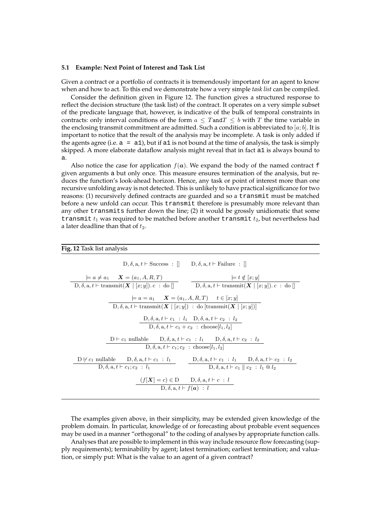#### **5.1 Example: Next Point of Interest and Task List**

**Fig. 12** Task list analysis

Given a contract or a portfolio of contracts it is tremendously important for an agent to know when and how to act. To this end we demonstrate how a very simple *task list* can be compiled.

Consider the definition given in Figure 12. The function gives a structured response to reflect the decision structure (the task list) of the contract. It operates on a very simple subset of the predicate language that, however, is indicative of the bulk of temporal constraints in contracts: only interval conditions of the form  $a \leq T$  and  $T \leq b$  with T the time variable in the enclosing transmit commitment are admitted. Such a condition is abbreviated to [a; b]. It is important to notice that the result of the analysis may be incomplete. A task is only added if the agents agree (i.e.  $a = a1$ ), but if a 1 is not bound at the time of analysis, the task is simply skipped. A more elaborate dataflow analysis might reveal that in fact a1 is always bound to a.

Also notice the case for application  $f(a)$ . We expand the body of the named contract f given arguments a but only once. This measure ensures termination of the analysis, but reduces the function's look-ahead horizon. Hence, any task or point of interest more than one recursive unfolding away is not detected. This is unlikely to have practical significance for two reasons: (1) recursively defined contracts are guarded and so a transmit must be matched before a new unfold can occur. This transmit therefore is presumably more relevant than any other transmits further down the line; (2) it would be grossly unidiomatic that some transmit  $t_1$  was required to be matched before another transmit  $t_2$ , but nevertheless had a later deadline than that of  $t_2$ .

| $D, \delta, a, t \vdash$ Success : $\lbrack \rbrack$ $D, \delta, a, t \vdash$ Failure : $\lbrack \rbrack$                                                                                       |                                                              |
|-------------------------------------------------------------------------------------------------------------------------------------------------------------------------------------------------|--------------------------------------------------------------|
| $\models a \neq a_1$ $\boldsymbol{X} = (a_1, A, R, T)$<br>$D, \delta, a, t \vdash \text{transmit}(X \mid [x; y]). c : do []$ $D, \delta, a, t \vdash \text{transmit}(X \mid [x; y]). c : do []$ | $\models t \notin [x; y]$                                    |
| $= a = a_1$ $X = (a_1, A, R, T)$ $t \in [x, y]$<br>$D, \delta, a, t \vdash \text{transmit}(\boldsymbol{X} \mid [x; y]) : \text{do } [\text{transmit}(\boldsymbol{X} \mid [x; y])]$              |                                                              |
| $D, \delta, a, t \vdash c_1 : l_1 \quad D, \delta, a, t \vdash c_2 : l_2$<br>$D, \delta, a, t \vdash c_1 + c_2 : choose[l1, l2]$                                                                |                                                              |
| $D \vdash c_1$ nullable $D, \delta, a, t \vdash c_1 : l_1$ $D, \delta, a, t \vdash c_2 : l_2$<br>$D, \delta, a, t \vdash c_1; c_2 : choose[l1, l2]$                                             |                                                              |
| $D \not\vdash c_1$ nullable $D, \delta, a, t \vdash c_1 : l_1$ $D, \delta, a, t \vdash c_1 : l_1$ $D, \delta, a, t \vdash c_2 : l_2$<br>$D, \delta, a, t \vdash c_1; c_2 : l_1$                 | $D, \delta, a, t \vdash c_1 \parallel c_2 : l_1 \otimes l_2$ |
| $(f[X] = c) \in D$ $D, \delta, a, t \vdash c : l$<br>$D, \delta, a, t \vdash f(a) : l$                                                                                                          |                                                              |

The examples given above, in their simplicity, may be extended given knowledge of the problem domain. In particular, knowledge of or forecasting about probable event sequences may be used in a manner "orthogonal" to the coding of analyses by appropriate function calls.

Analyses that are possible to implement in this way include resource flow forecasting (supply requirements); terminability by agent; latest termination; earliest termination; and valuation, or simply put: What is the value to an agent of a given contract?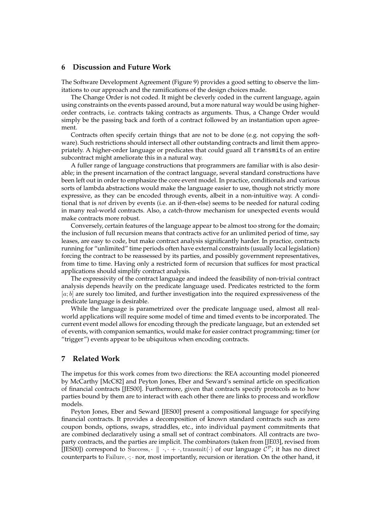### **6 Discussion and Future Work**

The Software Development Agreement (Figure 9) provides a good setting to observe the limitations to our approach and the ramifications of the design choices made.

The Change Order is not coded. It might be cleverly coded in the current language, again using constraints on the events passed around, but a more natural way would be using higherorder contracts, i.e. contracts taking contracts as arguments. Thus, a Change Order would simply be the passing back and forth of a contract followed by an instantiation upon agreement.

Contracts often specify certain things that are not to be done (e.g. not copying the software). Such restrictions should intersect all other outstanding contracts and limit them appropriately. A higher-order language or predicates that could guard all transmits of an entire subcontract might ameliorate this in a natural way.

A fuller range of language constructions that programmers are familiar with is also desirable; in the present incarnation of the contract language, several standard constructions have been left out in order to emphasize the core event model. In practice, conditionals and various sorts of lambda abstractions would make the language easier to use, though not strictly more expressive, as they can be encoded through events, albeit in a non-intuitive way. A conditional that is *not* driven by events (i.e. an if-then-else) seems to be needed for natural coding in many real-world contracts. Also, a catch-throw mechanism for unexpected events would make contracts more robust.

Conversely, certain features of the language appear to be almost too strong for the domain; the inclusion of full recursion means that contracts active for an unlimited period of time, say leases, are easy to code, but make contract analysis significantly harder. In practice, contracts running for "unlimited" time periods often have external constraints (usually local legislation) forcing the contract to be reassessed by its parties, and possibly government representatives, from time to time. Having only a restricted form of recursion that suffices for most practical applications should simplify contract analysis.

The expressivity of the contract language and indeed the feasibility of non-trivial contract analysis depends heavily on the predicate language used. Predicates restricted to the form  $[a, b]$  are surely too limited, and further investigation into the required expressiveness of the predicate language is desirable.

While the language is parametrized over the predicate language used, almost all realworld applications will require some model of time and timed events to be incorporated. The current event model allows for encoding through the predicate language, but an extended set of events, with companion semantics, would make for easier contract programming; timer (or "trigger") events appear to be ubiquitous when encoding contracts.

# **7 Related Work**

The impetus for this work comes from two directions: the REA accounting model pioneered by McCarthy [McC82] and Peyton Jones, Eber and Seward's seminal article on specification of financial contracts [JES00]. Furthermore, given that contracts specify protocols as to how parties bound by them are to interact with each other there are links to process and workflow models.

Peyton Jones, Eber and Seward [JES00] present a compositional language for specifying financial contracts. It provides a decomposition of known standard contracts such as zero coupon bonds, options, swaps, straddles, etc., into individual payment commitments that are combined declaratively using a small set of contract combinators. All contracts are twoparty contracts, and the parties are implicit. The combinators (taken from [JE03], revised from [JES00]) correspond to Success,  $\|\cdot, \cdot + \cdot, \text{transmit}(\cdot)$  of our language  $\mathcal{C}^{\mathcal{P}}$ ; it has no direct counterparts to Failure, ·; · nor, most importantly, recursion or iteration. On the other hand, it